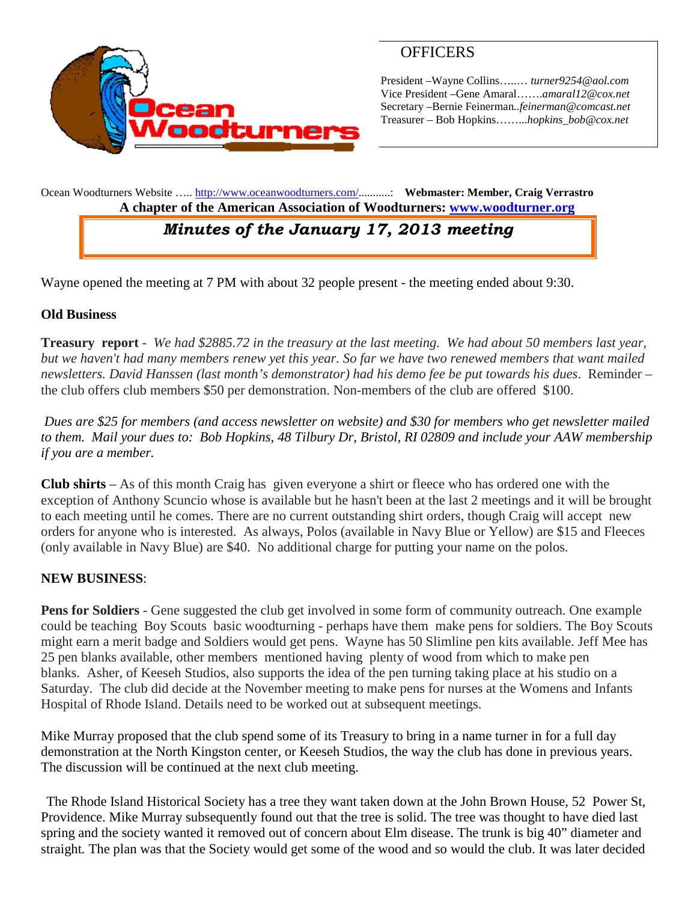

## **OFFICERS**

President –Wayne Collins…..… *turner9254@aol.com* Vice President –Gene Amaral…….*amaral12@cox.net* Secretary –Bernie Feinerman*..feinerman@comcast.net* Treasurer – Bob Hopkins……...*hopkins\_bob@cox.net*

Ocean Woodturners Website ….. <http://www.oceanwoodturners.com/>...........: **Webmaster: Member, Craig Verrastro A chapter of the American Association of Woodturners: [www.woodturner.org](http://www.woodturner.org/)**

# *Minutes of the January 17, 2013 meeting*

Wayne opened the meeting at 7 PM with about 32 people present - the meeting ended about 9:30.

#### **Old Business**

**Treasury report** *- We had \$2885.72 in the treasury at the last meeting. We had about 50 members last year, but we haven't had many members renew yet this year. So far we have two renewed members that want mailed newsletters. David Hanssen (last month's demonstrator) had his demo fee be put towards his dues*. Reminder – the club offers club members \$50 per demonstration. Non-members of the club are offered \$100.

*Dues are \$25 for members (and access newsletter on website) and \$30 for members who get newsletter mailed to them. Mail your dues to: Bob Hopkins, 48 Tilbury Dr, Bristol, RI 02809 and include your AAW membership if you are a member.*

**Club shirts** – As of this month Craig has given everyone a shirt or fleece who has ordered one with the exception of Anthony Scuncio whose is available but he hasn't been at the last 2 meetings and it will be brought to each meeting until he comes. There are no current outstanding shirt orders, though Craig will accept new orders for anyone who is interested. As always, Polos (available in Navy Blue or Yellow) are \$15 and Fleeces (only available in Navy Blue) are \$40. No additional charge for putting your name on the polos.

#### **NEW BUSINESS**:

**Pens for Soldiers** - Gene suggested the club get involved in some form of community outreach. One example could be teaching Boy Scouts basic woodturning - perhaps have them make pens for soldiers. The Boy Scouts might earn a merit badge and Soldiers would get pens. Wayne has 50 Slimline pen kits available. Jeff Mee has 25 pen blanks available, other members mentioned having plenty of wood from which to make pen blanks. Asher, of Keeseh Studios, also supports the idea of the pen turning taking place at his studio on a Saturday. The club did decide at the November meeting to make pens for nurses at the Womens and Infants Hospital of Rhode Island. Details need to be worked out at subsequent meetings.

Mike Murray proposed that the club spend some of its Treasury to bring in a name turner in for a full day demonstration at the North Kingston center, or Keeseh Studios, the way the club has done in previous years. The discussion will be continued at the next club meeting.

The Rhode Island Historical Society has a tree they want taken down at the John Brown House, 52 Power St, Providence. Mike Murray subsequently found out that the tree is solid. The tree was thought to have died last spring and the society wanted it removed out of concern about Elm disease. The trunk is big 40" diameter and straight*.* The plan was that the Society would get some of the wood and so would the club. It was later decided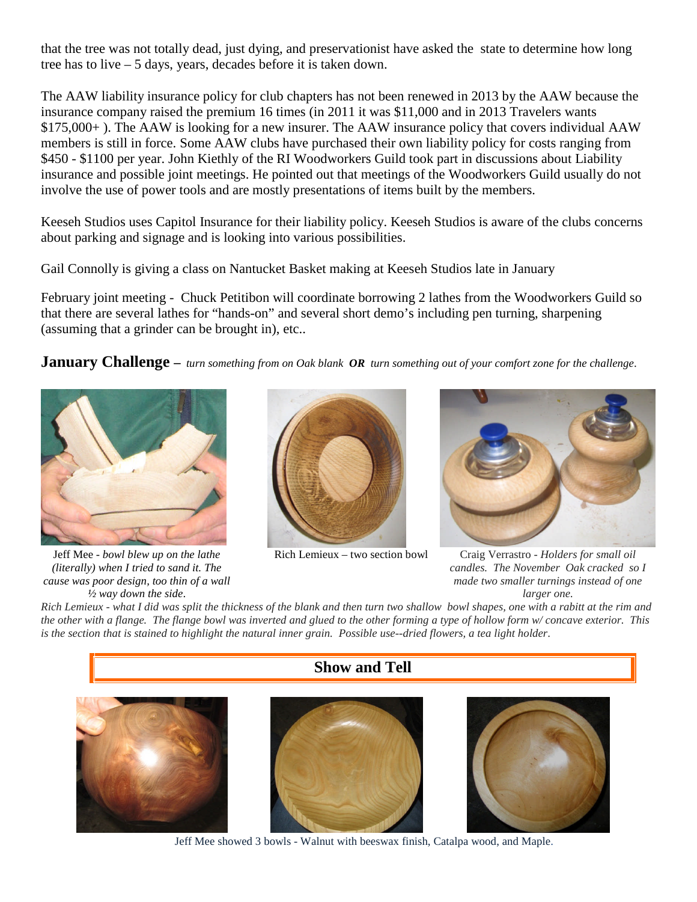that the tree was not totally dead, just dying, and preservationist have asked the state to determine how long tree has to live – 5 days, years, decades before it is taken down.

The AAW liability insurance policy for club chapters has not been renewed in 2013 by the AAW because the insurance company raised the premium 16 times (in 2011 it was \$11,000 and in 2013 Travelers wants \$175,000+ ). The AAW is looking for a new insurer. The AAW insurance policy that covers individual AAW members is still in force. Some AAW clubs have purchased their own liability policy for costs ranging from \$450 - \$1100 per year. John Kiethly of the RI Woodworkers Guild took part in discussions about Liability insurance and possible joint meetings. He pointed out that meetings of the Woodworkers Guild usually do not involve the use of power tools and are mostly presentations of items built by the members.

Keeseh Studios uses Capitol Insurance for their liability policy. Keeseh Studios is aware of the clubs concerns about parking and signage and is looking into various possibilities.

Gail Connolly is giving a class on Nantucket Basket making at Keeseh Studios late in January

February joint meeting - Chuck Petitibon will coordinate borrowing 2 lathes from the Woodworkers Guild so that there are several lathes for "hands-on" and several short demo's including pen turning, sharpening (assuming that a grinder can be brought in), etc..

**January Challenge –** *turn something from on Oak blank OR turn something out of your comfort zone for the challenge*.



Jeff Mee - *bowl blew up on the lathe (literally) when I tried to sand it. The cause was poor design, too thin of a wall ½ way down the side*.





Rich Lemieux – two section bowl Craig Verrastro - *Holders for small oil candles. The November Oak cracked so I made two smaller turnings instead of one larger one.*

*Rich Lemieux - what I did was split the thickness of the blank and then turn two shallow bowl shapes, one with a rabitt at the rim and the other with a flange. The flange bowl was inverted and glued to the other forming a type of hollow form w/ concave exterior. This is the section that is stained to highlight the natural inner grain. Possible use--dried flowers, a tea light holder*.



Jeff Mee showed 3 bowls - Walnut with beeswax finish, Catalpa wood, and Maple.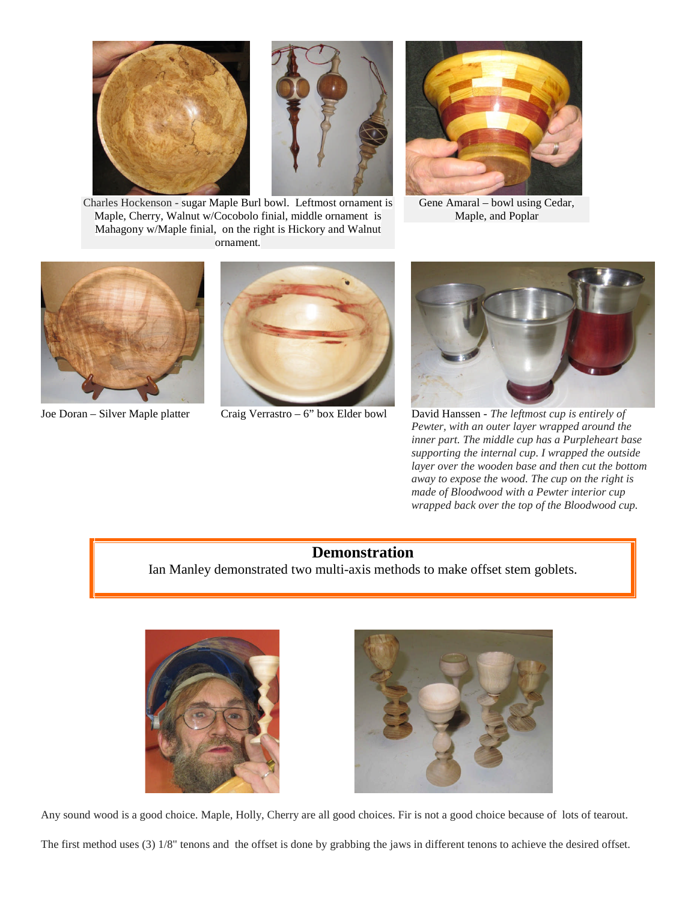



Charles Hockenson - sugar Maple Burl bowl. Leftmost ornament is Maple, Cherry, Walnut w/Cocobolo finial, middle ornament is Mahagony w/Maple finial, on the right is Hickory and Walnut ornament*.*



Gene Amaral – bowl using Cedar, Maple, and Poplar







Joe Doran – Silver Maple platter Craig Verrastro – 6" box Elder bowl David Hanssen - *The leftmost cup is entirely of Pewter, with an outer layer wrapped around the inner part. The middle cup has a Purpleheart base supporting the internal cup. I wrapped the outside layer over the wooden base and then cut the bottom away to expose the wood. The cup on the right is made of Bloodwood with a Pewter interior cup wrapped back over the top of the Bloodwood cup.*

#### **Demonstration**

Ian Manley demonstrated two multi-axis methods to make offset stem goblets.





Any sound wood is a good choice. Maple, Holly, Cherry are all good choices. Fir is not a good choice because of lots of tearout.

The first method uses (3) 1/8" tenons and the offset is done by grabbing the jaws in different tenons to achieve the desired offset.